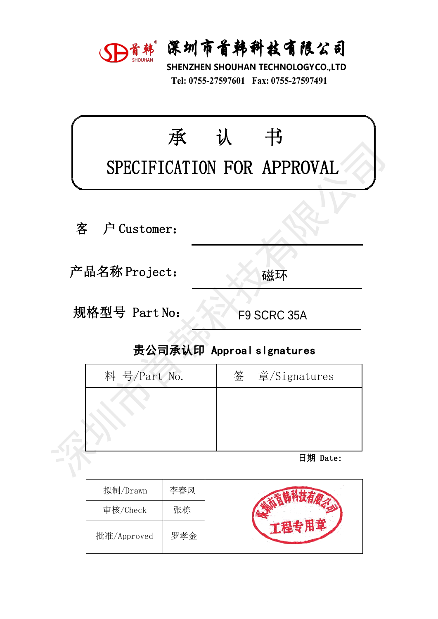

深圳市首韩科技有限公司<br>SHENZHEN SHOUHAN TECHNOLOGYCO.,LTD<br>Tel: 0755-27597601 Fax: 0755-27597491 **宋圳市首韩科技有限公司**<br>HENZHEN SHOUHAN TECHNOLOGYCO.,LTD<br>Tel: 0755-27597601 Fax: 0755-27597491

|                  | SD首韩 深圳市首韩科技有限公司<br>SHENZHEN SHOUHAN TECHNOLOGYCO.,LTD<br>Tel: 0755-27597601 Fax: 0755-27597491 |  |
|------------------|-------------------------------------------------------------------------------------------------|--|
| 承                | 书<br>认<br>SPECIFICATION FOR APPROVAL                                                            |  |
| 客<br>户 Customer: |                                                                                                 |  |
| 产品名称 Project:    | 磁环                                                                                              |  |
| 规格型号 Part No:    | F9 SCRC 35A                                                                                     |  |
|                  | 贵公司承认印 Approal slgnatures                                                                       |  |
| 料 号/Part No.     | 签<br>章/Signatures                                                                               |  |
|                  |                                                                                                 |  |
|                  | 日期 Date:                                                                                        |  |
|                  |                                                                                                 |  |

拟制/Drawn 李春风 审核/Check 张栋 批准/Approved 罗孝金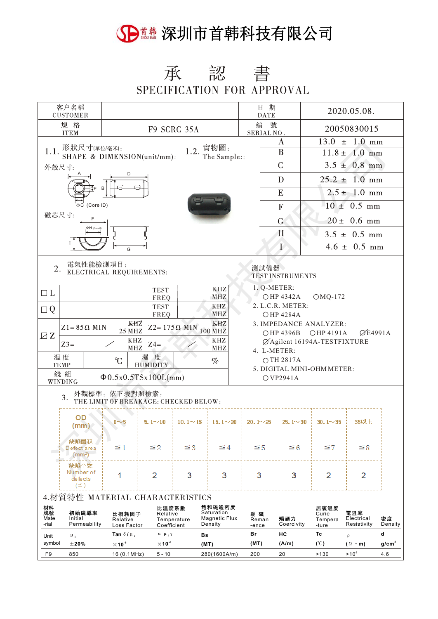#### 5 1 . 深圳市首韩科技有限公司

#### 承認書 SPECIFICATION FOR APPROVAL

| 客户名稱<br><b>CUSTOMER</b>                                                                 |                                                                                               |                                  |                                  |                       |                                                                                              | 日 期<br><b>DATE</b>                     |                                                                 | 2020.05.08.                       |                                  |                   |  |  |
|-----------------------------------------------------------------------------------------|-----------------------------------------------------------------------------------------------|----------------------------------|----------------------------------|-----------------------|----------------------------------------------------------------------------------------------|----------------------------------------|-----------------------------------------------------------------|-----------------------------------|----------------------------------|-------------------|--|--|
| 規 格<br><b>F9 SCRC 35A</b><br><b>ITEM</b>                                                |                                                                                               |                                  |                                  |                       |                                                                                              | 編<br>SERIAL NO.                        | 號                                                               |                                   | 20050830015                      |                   |  |  |
|                                                                                         |                                                                                               |                                  |                                  |                       |                                                                                              |                                        | A                                                               | $13.0 \pm 1.0 \text{ mm}$         |                                  |                   |  |  |
|                                                                                         | 1.1. 形狀尺寸(單位/毫米):<br>SHAPE & DIMENSION(unit/mm):                                              |                                  |                                  |                       | 1.2. $\frac{\mathbb{E} \mathbb{E} \mathbb{E}}{\mathbb{E} \mathbb{E} \operatorname{Sample}:}$ |                                        | $11.8 \pm 1.0$ mm                                               |                                   |                                  |                   |  |  |
| 外殻尺寸:                                                                                   |                                                                                               |                                  |                                  |                       |                                                                                              |                                        | $\mathsf{C}$                                                    |                                   | $3.5 \pm 0.8$ mm                 |                   |  |  |
|                                                                                         |                                                                                               | D                                |                                  |                       |                                                                                              |                                        | D                                                               |                                   | $25.2 \pm 1.0 \text{ mm}$        |                   |  |  |
|                                                                                         | ‡E B                                                                                          |                                  |                                  |                       |                                                                                              |                                        | E                                                               | $2.5 \pm 1.0$ mm                  |                                  |                   |  |  |
|                                                                                         | ⊕C (Core ID)                                                                                  |                                  |                                  |                       |                                                                                              |                                        | $-10 \pm 0.5$ mm<br>${\bf F}$                                   |                                   |                                  |                   |  |  |
| 磁芯尺寸:                                                                                   | F<br>ΦΗ (Core ID                                                                              |                                  |                                  |                       |                                                                                              |                                        | $20 \pm 0.6$ mm<br>G                                            |                                   |                                  |                   |  |  |
|                                                                                         |                                                                                               |                                  |                                  |                       |                                                                                              |                                        | H                                                               | $3.5 \pm 0.5$ mm                  |                                  |                   |  |  |
|                                                                                         |                                                                                               |                                  |                                  |                       |                                                                                              |                                        | I                                                               | $4.6 \pm 0.5$ mm                  |                                  |                   |  |  |
| 電氣性能檢測項目:<br>2.<br>測試儀器<br>ELECTRICAL REQUIREMENTS:<br>TEST INSTRUMENTS                 |                                                                                               |                                  |                                  |                       |                                                                                              |                                        |                                                                 |                                   |                                  |                   |  |  |
| $\square$<br>L                                                                          |                                                                                               |                                  | <b>TEST</b>                      |                       | KHZ                                                                                          |                                        | 1. Q-METER:                                                     |                                   |                                  |                   |  |  |
| $\Box Q$                                                                                | ○HP 4342A<br>$OMQ-172$<br>MHZ<br><b>FREQ</b><br>2. L.C.R. METER:<br><b>KHZ</b><br><b>TEST</b> |                                  |                                  |                       |                                                                                              |                                        |                                                                 |                                   |                                  |                   |  |  |
|                                                                                         |                                                                                               | KHZ                              | FREQ                             |                       | <b>MHZ</b><br>KHZ                                                                            |                                        | <b>OHP 4284A</b>                                                |                                   |                                  |                   |  |  |
| ZZ                                                                                      | $Z1 = 85 \Omega$ MIN                                                                          | 25 MHZ                           |                                  | $Z2 = 175 \Omega$ MIN | 100 MHZ                                                                                      |                                        | 3. IMPEDANCE ANALYZER:<br><b>⊘E4991A</b><br>○HP 4396B ○HP 4191A |                                   |                                  |                   |  |  |
| <b>KHZ</b><br>KHZ<br>ØAgilent 16194A-TESTFIXTURE<br>$Z3=$<br>$Z4=$<br>MHZ<br><b>MHZ</b> |                                                                                               |                                  |                                  |                       |                                                                                              |                                        |                                                                 |                                   |                                  |                   |  |  |
| 4. L-METER:<br>温度<br>濕度<br>C<br>○TH 2817A<br>$\%$<br><b>HUMIDITY</b><br><b>TEMP</b>     |                                                                                               |                                  |                                  |                       |                                                                                              |                                        |                                                                 |                                   |                                  |                   |  |  |
|                                                                                         | 綫組                                                                                            | $\Phi$ 0.5x0.5TSx100L(mm)        |                                  |                       |                                                                                              | 5. DIGITAL MINI-OHM METER:<br>OVP2941A |                                                                 |                                   |                                  |                   |  |  |
| <b>WINDING</b><br>外觀標準: 依下表對照檢索:                                                        |                                                                                               |                                  |                                  |                       |                                                                                              |                                        |                                                                 |                                   |                                  |                   |  |  |
| 3.<br>THE LIMIT OF BREAKAGE: CHECKED BELOW:                                             |                                                                                               |                                  |                                  |                       |                                                                                              |                                        |                                                                 |                                   |                                  |                   |  |  |
|                                                                                         | OD<br>(mm)                                                                                    | $0\nu 5$                         |                                  |                       | $5.1 \sim 10$   10.1 $\sim$ 15   15.1 $\sim$ 20                                              | $20.1 \sim 25$                         | $25.1 \times 30$                                                | $30.1 \sim 35$                    | 35以上                             |                   |  |  |
|                                                                                         | 缺陷面积<br>Defect area<br>(mm <sup>2</sup> )                                                     | $\leq 1$                         | $\leq 2$                         | ≦3                    | $\leq 4$                                                                                     | ≦5                                     | ≦6                                                              | ≦7                                | ≦8                               |                   |  |  |
|                                                                                         | 缺陷个数<br>Number of<br>de fe cts<br>(≌)                                                         | 1                                | 2                                | 3                     | 3                                                                                            | 3                                      | 3                                                               | 2                                 | 2                                |                   |  |  |
| 特性 MATERIAL CHARACTERISTICS                                                             |                                                                                               |                                  |                                  |                       |                                                                                              |                                        |                                                                 |                                   |                                  |                   |  |  |
| 材料<br>牌號<br>Mate<br>-rial                                                               | 初始磁導率<br>Initial<br>Permeability                                                              | 比損耗因子<br>Relative<br>Loss Factor | 比温度系數<br>Relative<br>Coefficient | Temperature           | 飽和磁通密度<br>Saturation<br><b>Magnetic Flux</b><br>Density                                      | 剩 磁<br>Reman<br>-ence                  | 矯頑力<br>Coercivity                                               | 居裏温度<br>Curie<br>Tempera<br>-ture | 電阻率<br>Electrical<br>Resistivity | 密度<br>Density     |  |  |
| Unit                                                                                    | $\mu$ <sub>1</sub>                                                                            | Tan $\delta/\mu$ ,               | $\alpha$ $\mu$ , $\gamma$        | Bs                    |                                                                                              | Br                                     | нc                                                              | Тc                                | $\overline{\rho}$                | d                 |  |  |
| symbol                                                                                  | $\pm$ 20%                                                                                     | $\times$ 10 <sup>-6</sup>        | $\times$ 10 <sup>-6</sup>        |                       | (MT)                                                                                         | (MT)                                   | (A/m)                                                           | (C)                               | $($ $\Omega$ · m)                | g/cm <sup>3</sup> |  |  |
| F9                                                                                      | 850                                                                                           | 16 (0.1MHz)                      | $5 - 10$                         |                       | 280(1600A/m)                                                                                 | 200                                    | 20                                                              | >130                              | $>10^{5}$                        | 4.6               |  |  |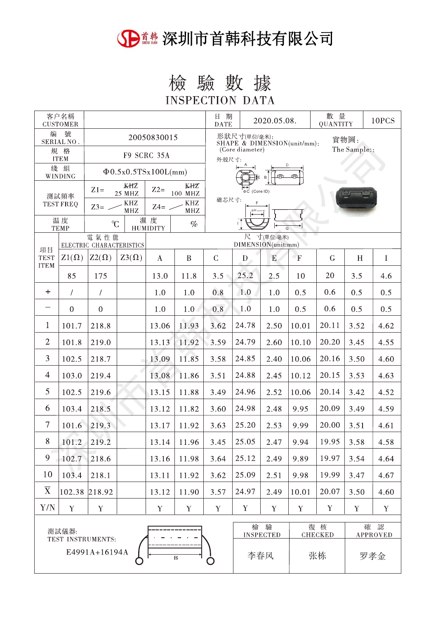### 5 1 1 深圳市首韩科技有限公司

# 檢驗數據

**INSPECTION DATA** 

| 客户名稱<br><b>CUSTOMER</b>                              |                |                               |                           |                                                     |                                          |                                  | 日期<br>2020.05.08.<br><b>DATE</b> |           |                 | 數 量<br><b>QUANTITY</b> |             | 10PCS    |  |
|------------------------------------------------------|----------------|-------------------------------|---------------------------|-----------------------------------------------------|------------------------------------------|----------------------------------|----------------------------------|-----------|-----------------|------------------------|-------------|----------|--|
| 编<br>號<br>SERIAL NO.                                 |                | 20050830015                   |                           | 形狀尺寸(單位/毫米):<br>實物圖:<br>SHAPE & DIMENSION(unit/mm): |                                          |                                  |                                  |           |                 |                        |             |          |  |
| 規 格<br><b>ITEM</b>                                   |                |                               | F9 SCRC 35A               |                                                     | The Sample::<br>(Core diameter)<br>外殻尺寸: |                                  |                                  |           |                 |                        |             |          |  |
| 綫 組<br>$\Phi$ 0.5x0.5TSx100L(mm)<br>WINDING          |                |                               |                           | Т€Е В                                               |                                          |                                  |                                  |           |                 |                        |             |          |  |
| 測試頻率<br><b>TEST FREQ</b>                             |                | KHZ<br>$Z1=$<br><b>25 MHZ</b> |                           | KHZ<br>$Z2=$<br>100 MHZ                             |                                          | <b>DC</b> (Core ID)              |                                  |           |                 |                        |             |          |  |
|                                                      |                | $Z3=$ -                       | $\rm KHZ$<br>$Z4=$<br>MHZ |                                                     | KHZ<br>MHz                               | 磁芯尺寸:<br>F                       |                                  |           |                 |                        |             |          |  |
| 温度<br>C<br><b>TEMP</b>                               |                |                               | 濕度<br><b>HUMIDITY</b>     | $\%$                                                | īΙ<br>G                                  |                                  |                                  |           |                 |                        |             |          |  |
| 電氣性能<br>ELECTRIC CHARACTERISTICS                     |                |                               |                           |                                                     |                                          | 尺 寸(單位:毫米)<br>DIMENSION(unit:mm) |                                  |           |                 |                        |             |          |  |
| 項目<br><b>TEST</b><br><b>ITEM</b>                     | $Z1(\Omega)$   | $Z2(\Omega)$                  | $Z3(\Omega)$              | $\bf{A}$                                            | $\, {\bf B}$                             | $\mathcal{C}$                    | $\mathbf{D}$                     | E         | $\mathbf{F}$    | $\mathsf{G}$           | H           | $\bf{I}$ |  |
|                                                      | 85             | 175                           |                           | 13.0                                                | 11.8                                     | 3.5                              | 25.2                             | 2.5       | 10              | 20                     | 3.5         | 4.6      |  |
| $+$                                                  | $\sqrt{2}$     | $\overline{1}$                |                           | 1.0                                                 | 1.0                                      | 0.8                              | 1.0                              | 1.0       | 0.5             | 0.6                    | 0.5         | 0.5      |  |
|                                                      | $\overline{0}$ | $\mathbf{0}$                  |                           | 1.0                                                 | $1.0\angle$                              | 0.8                              | 1.0                              | 1.0       | 0.5             | 0.6                    | 0.5         | 0.5      |  |
| $\mathbf{1}$                                         | 101.7          | 218.8                         |                           | 13.06                                               | 11.93                                    | 3.62                             | 24.78                            | 2.50      | 10.01           | 20.11                  | 3.52        | 4.62     |  |
| $\overline{2}$                                       | 101.8          | 219.0                         |                           | 13.13                                               | 11.92                                    | 3.59                             | 24.79                            | 2.60      | 10.10           | 20.20                  | 3.45        | 4.55     |  |
| 3                                                    | 102.5          | 218.7                         |                           | 13.09                                               | 11.85                                    | 3.58                             | 24.85                            | 2.40      | 10.06           | 20.16                  | 3.50        | 4.60     |  |
| $\overline{4}$                                       | 103.0          | 219.4                         |                           | 13.08                                               | 11.86                                    | 3.51                             | 24.88                            | 2.45      | 10.12           | 20.15                  | 3.53        | 4.63     |  |
| 5                                                    | 102.5          | 219.6                         |                           | 13.15                                               | 11.88                                    | 3.49                             | 24.96                            | 2.52      | 10.06           | 20.14                  | 3.42        | 4.52     |  |
| 6                                                    | 103.4          | 218.5                         |                           | 13.12                                               | 11.82                                    | 3.60                             | 24.98                            | 2.48      | 9.95            | 20.09                  | 3.49        | 4.59     |  |
| $\overline{7}$                                       | 101.6          | 219.3                         |                           | 13.17                                               | 11.92                                    | 3.63                             | 25.20                            | 2.53      | 9.99            | 20.00                  | 3.51        | 4.61     |  |
| 8                                                    | 101.2          | 219.2                         |                           | 13.14                                               | 11.96                                    | 3.45                             | 25.05                            | 2.47      | 9.94            | 19.95                  | 3.58        | 4.58     |  |
| 9                                                    | 102.7          | 218.6                         |                           | 13.16                                               | 11.98                                    | 3.64                             | 25.12                            | 2.49      | 9.89            | 19.97                  | 3.54        | 4.64     |  |
| 10                                                   | 103.4          | 218.1                         |                           | 13.11                                               | 11.92                                    | 3.62                             | 25.09                            | 2.51      | 9.98            | 19.99                  | 3.47        | 4.67     |  |
| $\overline{X}$                                       | 102.38         | 218.92                        |                           | 13.12                                               | 11.90                                    | 3.57                             | 24.97                            | 2.49      | 10.01           | 20.07                  | 3.50        | 4.60     |  |
| Y/N                                                  | Y              | $\mathbf Y$                   |                           | $\mathbf Y$                                         | $\mathbf Y$                              | $\mathbf Y$                      | Y                                | Y         | Y               | $\mathbf Y$            | $\mathbf Y$ | Y        |  |
| 測試儀器:                                                |                |                               |                           |                                                     |                                          | 檢                                | 驗                                |           | 復核              |                        | 確 認         |          |  |
| TEST INSTRUMENTS:<br>E4991A+16194A<br>$\overline{B}$ |                |                               |                           |                                                     | <b>INSPECTED</b><br>李春风                  |                                  | <b>CHECKED</b>                   |           | <b>APPROVED</b> |                        |             |          |  |
|                                                      |                |                               |                           |                                                     |                                          |                                  |                                  | 张栋<br>罗孝金 |                 |                        |             |          |  |
|                                                      |                |                               |                           |                                                     |                                          |                                  |                                  |           |                 |                        |             |          |  |